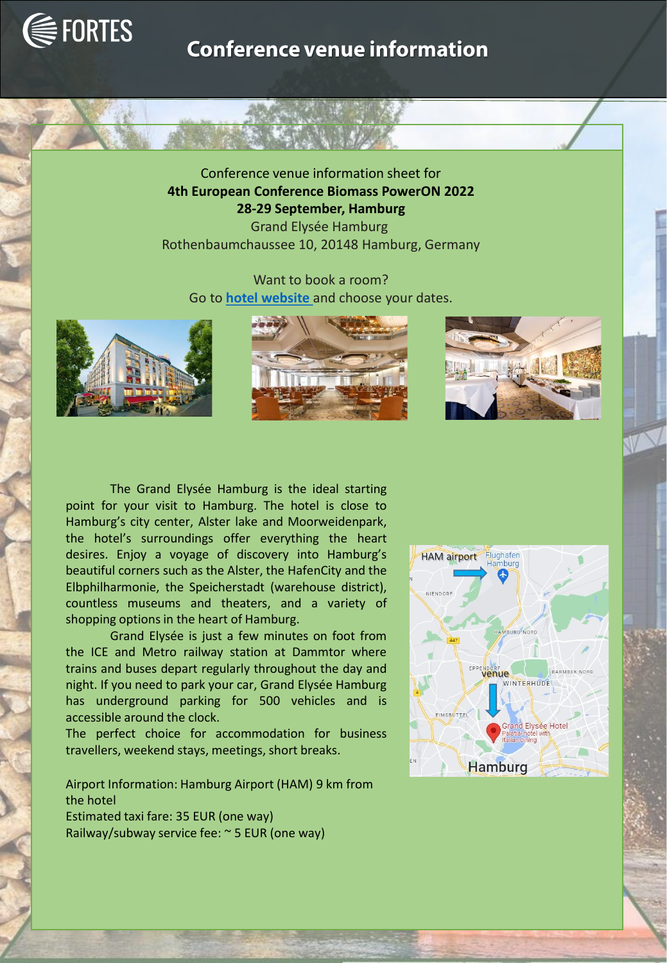

## **Conference venue information**

Conference venue information sheet for **4th European Conference Biomass PowerON 2022 28-29 September, Hamburg** Grand Elysée Hamburg Rothenbaumchaussee 10, 20148 Hamburg, Germany

Want to book a room? Go to **[hotel website](https://www.grand-elysee.com/en/)** and choose your dates.







The Grand Elysée Hamburg is the ideal starting point for your visit to Hamburg. The hotel is close to Hamburg's city center, Alster lake and Moorweidenpark, the hotel's surroundings offer everything the heart desires. Enjoy a voyage of discovery into Hamburg's beautiful corners such as the Alster, the HafenCity and the Elbphilharmonie, the Speicherstadt (warehouse district), countless museums and theaters, and a variety of shopping options in the heart of Hamburg.

Grand Elysée is just a few minutes on foot from the ICE and Metro railway station at Dammtor where trains and buses depart regularly throughout the day and night. If you need to park your car, Grand Elysée Hamburg has underground parking for 500 vehicles and is accessible around the clock.

The perfect choice for accommodation for business travellers, weekend stays, meetings, short breaks.

Airport Information: Hamburg Airport (HAM) 9 km from the hotel Estimated taxi fare: 35 EUR (one way) Railway/subway service fee: ~ 5 EUR (one way)